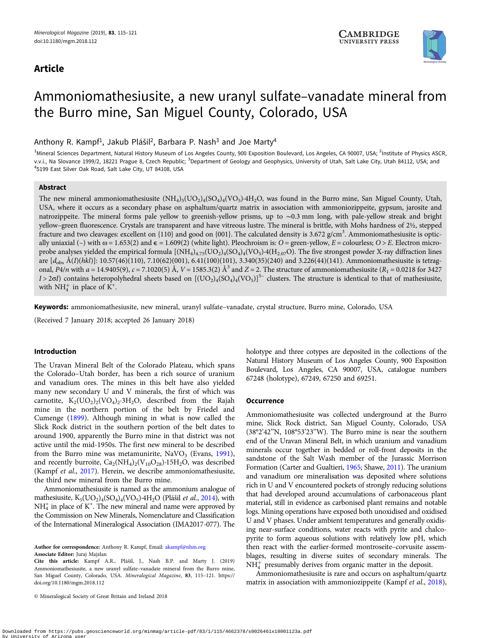# Article



# Ammoniomathesiusite, a new uranyl sulfate–vanadate mineral from the Burro mine, San Miguel County, Colorado, USA

Anthony R. Kampf<sup>1</sup>, Jakub Plášil<sup>2</sup>, Barbara P. Nash<sup>3</sup> and Joe Marty<sup>4</sup>

<sup>1</sup>Mineral Sciences Department, Natural History Museum of Los Angeles County, 900 Exposition Boulevard, Los Angeles, CA 90007, USA; <sup>2</sup>Institute of Physics ASCR, v.v.i., Na Slovance 1999/2, 18221 Prague 8, Czech Republic; <sup>3</sup>Department of Geology and Geophysics, University of Utah, Salt Lake City, Utah 84112, USA; and 4 5199 East Silver Oak Road, Salt Lake City, UT 84108, USA

## Abstract

The new mineral ammoniomathesiusite  $(NH_4)_5 (UO_2)_4 (SO_4)_4 (VO_5) \cdot 4H_2O$ , was found in the Burro mine, San Miguel County, Utah, USA, where it occurs as a secondary phase on asphaltum/quartz matrix in association with ammoniozippeite, gypsum, jarosite and natrozippeite. The mineral forms pale yellow to greenish-yellow prisms, up to ∼0.3 mm long, with pale-yellow streak and bright yellow–green fluorescence. Crystals are transparent and have vitreous lustre. The mineral is brittle, with Mohs hardness of 2½, stepped fracture and two cleavages: excellent on {110} and good on {001}. The calculated density is 3.672 g/cm<sup>3</sup>. Ammoniomathesiusite is optically uniaxial (–) with  $\omega = 1.653(2)$  and  $\epsilon = 1.609(2)$  (white light). Pleochroism is: O = green-yellow, E = colourless; O > E. Electron microprobe analyses yielded the empirical formula  $[(NH_4)_{4.75}(UO_2)_4(SO_4)_4(VO_5)$ <sup>-4</sup>(H<sub>2.07</sub>O). The five strongest powder X-ray diffraction lines are  $[d_{\text{obs}} \text{Å}(I)(hkl)]$ : 10.57(46)(110), 7.10(62)(001), 6.41(100)(101), 3.340(35)(240) and 3.226(44)(141). Ammoniomathesiusite is tetragonal,  $P4/n$  with  $a = 14.9405(9)$ ,  $c = 7.1020(5)$  Å,  $V = 1585.3(2)$  Å<sup>3</sup> and  $Z = 2$ . The structure of ammoniomathesiusite ( $R_1 = 0.0218$  for 3427  $I > 2\sigma I$ ) contains heteropolyhedral sheets based on  $[(UO<sub>2)</sub>(SO<sub>4</sub>)(VO<sub>5</sub>)]<sup>5</sup>$  clusters. The structure is identical to that of mathesiusite, with  $NH_4^+$  in place of  $K^+$ .

Keywords: ammoniomathesiusite, new mineral, uranyl sulfate–vanadate, crystal structure, Burro mine, Colorado, USA

(Received 7 January 2018; accepted 26 January 2018)

# Introduction

The Uravan Mineral Belt of the Colorado Plateau, which spans the Colorado–Utah border, has been a rich source of uranium and vanadium ores. The mines in this belt have also yielded many new secondary U and V minerals, the first of which was carnotite,  $K_2(UO_2)_2(VO_4)_2.3H_2O$ , described from the Rajah mine in the northern portion of the belt by Friedel and Cumenge ([1899\)](#page-5-0). Although mining in what is now called the Slick Rock district in the southern portion of the belt dates to around 1900, apparently the Burro mine in that district was not active until the mid-1950s. The first new mineral to be described from the Burro mine was metamunirite,  $NaVO<sub>3</sub>$  (Evans, [1991\)](#page-5-0), and recently burroite,  $Ca_2(NH_4)_2(V_{10}O_{28})$  15H<sub>2</sub>O, was described (Kampf et al., [2017\)](#page-5-0). Herein, we describe ammoniomathesiusite, the third new mineral from the Burro mine.

Ammoniomathesiusite is named as the ammonium analogue of mathesiusite,  $K_5({UO_2})_4({SO_4})_4({VO_5})$ ·4H<sub>2</sub>O (Plášil *et al.*, [2014\)](#page-6-0), with  $NH<sub>4</sub><sup>+</sup>$  in place of K<sup>+</sup>. The new mineral and name were approved by the Commission on New Minerals, Nomenclature and Classification of the International Mineralogical Association (IMA2017-077). The

Author for correspondence: Anthony R. Kampf, Email: [akampf@nhm.org](mailto:akampf@nhm.org) Associate Editor: Juraj Majzlan

© Mineralogical Society of Great Britain and Ireland 2018

holotype and three cotypes are deposited in the collections of the Natural History Museum of Los Angeles County, 900 Exposition Boulevard, Los Angeles, CA 90007, USA, catalogue numbers 67248 (holotype), 67249, 67250 and 69251.

#### **Occurrence**

Ammoniomathesiusite was collected underground at the Burro mine, Slick Rock district, San Miguel County, Colorado, USA (38°2'42''N, 108°53'23''W). The Burro mine is near the southern end of the Uravan Mineral Belt, in which uranium and vanadium minerals occur together in bedded or roll-front deposits in the sandstone of the Salt Wash member of the Jurassic Morrison Formation (Carter and Gualtieri, [1965](#page-5-0); Shawe, [2011\)](#page-6-0). The uranium and vanadium ore mineralisation was deposited where solutions rich in U and V encountered pockets of strongly reducing solutions that had developed around accumulations of carbonaceous plant material, still in evidence as carbonised plant remains and notable logs. Mining operations have exposed both unoxidised and oxidised U and V phases. Under ambient temperatures and generally oxidising near-surface conditions, water reacts with pyrite and chalcopyrite to form aqueous solutions with relatively low pH, which then react with the earlier-formed montroseite–corvusite assemblages, resulting in diverse suites of secondary minerals. The  $NH<sub>4</sub><sup>+</sup>$  presumably derives from organic matter in the deposit.

Ammoniomathesiusite is rare and occurs on asphaltum/quartz matrix in association with ammoniozippeite (Kampf et al., [2018](#page-5-0)),

Cite this article: Kampf A.R., Plášil, J., Nash B.P. and Marty J. (2019) Ammoniomathesiusite, a new uranyl sulfate–vanadate mineral from the Burro mine, San Miguel County, Colorado, USA. Mineralogical Magazine, 83, 115–121. [https://](https://doi.org/10.1180/mgm.2018.112) [doi.org/10.1180/mgm.2018.112](https://doi.org/10.1180/mgm.2018.112)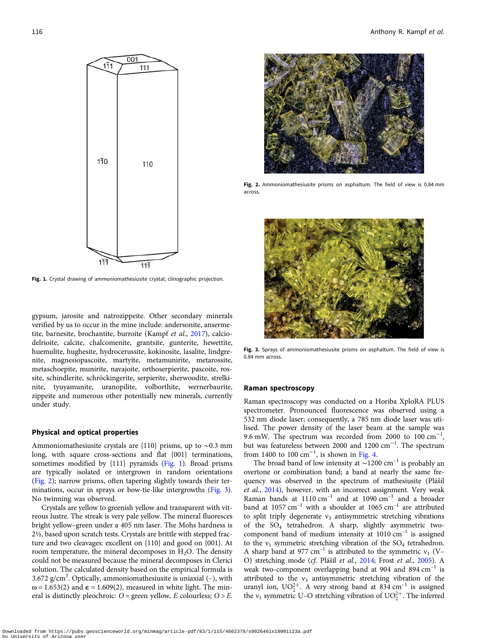

Fig. 1. Crystal drawing of ammoniomathesiusite crystal: clinographic projection.

gypsum, jarosite and natrozippeite. Other secondary minerals verified by us to occur in the mine include: andersonite, ansermetite, barnesite, brochantite, burroite (Kampf et al., [2017](#page-5-0)), calciodelrioite, calcite, chalcomenite, grantsite, gunterite, hewettite, huemulite, hughesite, hydrocerussite, kokinosite, lasalite, lindgrenite, magnesiopascoite, martyite, metamunirite, metarossite, metaschoepite, munirite, navajoite, orthoserpierite, pascoite, rossite, schindlerite, schröckingerite, serpierite, sherwoodite, strelkinite, tyuyamunite, uranopilite, volborthite, wernerbaurite, zippeite and numerous other potentially new minerals, currently under study.

#### Physical and optical properties

Ammoniomathesiusite crystals are {110} prisms, up to ∼0.3 mm long, with square cross-sections and flat {001} terminations, sometimes modified by {111} pyramids (Fig. 1). Broad prisms are typically isolated or intergrown in random orientations (Fig. 2); narrow prisms, often tapering slightly towards their terminations, occur in sprays or bow-tie-like intergrowths (Fig. 3). No twinning was observed.

Crystals are yellow to greenish yellow and transparent with vitreous lustre. The streak is very pale yellow. The mineral fluoresces bright yellow–green under a 405 nm laser. The Mohs hardness is 2½, based upon scratch tests. Crystals are brittle with stepped fracture and two cleavages: excellent on {110} and good on {001}. At room temperature, the mineral decomposes in  $H_2O$ . The density could not be measured because the mineral decomposes in Clerici solution. The calculated density based on the empirical formula is 3.672 g/cm<sup>3</sup>. Optically, ammoniomathesiusite is uniaxial (-), with  $\omega$  = 1.653(2) and  $\epsilon$  = 1.609(2), measured in white light. The mineral is distinctly pleochroic:  $O =$  green yellow, E colourless;  $O > E$ .



Fig. 2. Ammoniomathesiusite prisms on asphaltum. The field of view is 0.84 mm across.



Fig. 3. Sprays of ammoniomathesiusite prisms on asphaltum. The field of view is 0.84 mm across.

#### Raman spectroscopy

Raman spectroscopy was conducted on a Horiba XploRA PLUS spectrometer. Pronounced fluorescence was observed using a 532 nm diode laser; consequently, a 785 nm diode laser was utilised. The power density of the laser beam at the sample was 9.6 mW. The spectrum was recorded from 2000 to  $100 \text{ cm}^{-1}$ , but was featureless between 2000 and 1200 cm−<sup>1</sup> . The spectrum from 1400 to 100  $\text{cm}^{-1}$ , is shown in [Fig. 4.](#page-2-0)

The broad band of low intensity at  $\sim$ 1200 cm<sup>-1</sup> is probably an overtone or combination band; a band at nearly the same frequency was observed in the spectrum of mathesiusite (Plášil et al., [2014\)](#page-6-0), however, with an incorrect assignment. Very weak Raman bands at  $1110 \text{ cm}^{-1}$  and at  $1090 \text{ cm}^{-1}$  and a broader band at  $1057 \text{ cm}^{-1}$  with a shoulder at  $1065 \text{ cm}^{-1}$  are attributed to split triply degenerate  $v_3$  antisymmetric stretching vibrations of the SO4 tetrahedron. A sharp, slightly asymmetric twocomponent band of medium intensity at  $1010 \text{ cm}^{-1}$  is assigned to the  $v_1$  symmetric stretching vibration of the  $SO_4$  tetrahedron. A sharp band at 977 cm<sup>-1</sup> is attributed to the symmetric  $v_1$  (V-O) stretching mode (cf. Plášil et al., [2014](#page-6-0); Frost et al., [2005](#page-5-0)). A weak two-component overlapping band at 904 and 894  $cm^{-1}$  is attributed to the  $v_3$  antisymmetric stretching vibration of the uranyl ion,  $UO_2^{2+}$ . A very strong band at 834 cm<sup>-1</sup> is assigned the  $v_1$  symmetric U–O stretching vibration of  $UO_2^{2+}$ . The inferred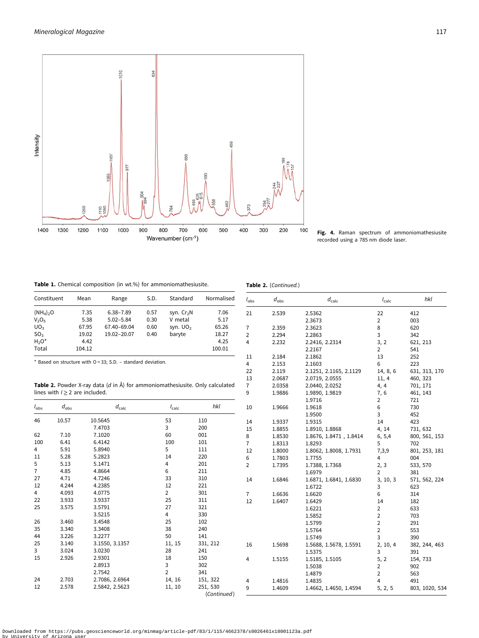<span id="page-2-0"></span>

Fig. 4. Raman spectrum of ammoniomathesiusite recorded using a 785 nm diode laser.

 $I_{\rm obs}$  d<sub>obs</sub> d<sub>calc</sub> l<sub>calc</sub> hki 21 2.539 2.5362 22 412

7 2.359 2.3623 8 620 2 2.294 2.2863 3 342<br>4 2.232 2.2416, 2.2314 3, 2 621, 213 4 2.232 2.2416, 2.2314 3, 2 621,<br>2.2167 2 541

11 2.184 2.1862 13 252 4 2.153 2.1603 6 223 22 2.119 2.1251, 2.1165, 2.1129 14, 8, 6 631, 313, 170

2.3673 2 003<br>2.3623 8 620

2.2167 2 541<br>2.1862 13 252

Table 1. Chemical composition (in wt.%) for ammoniomathesiusite.

Table 2. (Continued.)

| Constituent                   | Mean   | Range         | S.D. | Standard    | Normalised |
|-------------------------------|--------|---------------|------|-------------|------------|
| $(NH_4)_2O$                   | 7.35   | $6.38 - 7.89$ | 0.57 | syn. $Cr2N$ | 7.06       |
| V <sub>2</sub> O <sub>5</sub> | 5.38   | $5.02 - 5.84$ | 0.30 | V metal     | 5.17       |
| UO <sub>3</sub>               | 67.95  | 67.40-69.04   | 0.60 | syn. $UO2$  | 65.26      |
| SO <sub>3</sub>               | 19.02  | 19.02-20.07   | 0.40 | baryte      | 18.27      |
| $H_2O^*$                      | 4.42   |               |      |             | 4.25       |
| Total                         | 104.12 |               |      |             | 100.01     |

\* Based on structure with O = 33; S.D. – standard deviation.

Table 2. Powder X-ray data (d in Å) for ammoniomathesiusite. Only calculated lines with  $I \geq 2$  are included.

|                |                                     |                                                                              |                |             | 13             | 2.0687 | 2.0719, 2.0555         | 11, 4          | 460, 323       |
|----------------|-------------------------------------|------------------------------------------------------------------------------|----------------|-------------|----------------|--------|------------------------|----------------|----------------|
|                |                                     | Table 2. Powder X-ray data (d in Å) for ammoniomathesiusite. Only calculated |                |             | $\overline{7}$ | 2.0358 | 2.0440, 2.0252         | 4, 4           | 701, 171       |
|                | lines with $l \geq 2$ are included. |                                                                              |                |             | 9              | 1.9886 | 1.9890, 1.9819         | 7, 6           | 461, 143       |
|                |                                     |                                                                              |                |             |                |        | 1.9716                 | 2              | 721            |
| $I_{\rm obs}$  | $d_{\rm obs}$                       | $d_{\mathsf{calc}}$                                                          | $I_{calc}$     | hkl         | 10             | 1.9666 | 1.9618                 | 6              | 730            |
|                |                                     |                                                                              |                |             |                |        | 1.9500                 | 3              | 452            |
| 46             | 10.57                               | 10.5645                                                                      | 53             | 110         | 14             | 1.9337 | 1.9315                 | 14             | 423            |
|                |                                     | 7.4703                                                                       | 3              | 200         | 15             | 1.8855 | 1.8910, 1.8868         | 4, 14          | 731, 632       |
| 62             | 7.10                                | 7.1020                                                                       | 60             | 001         | 8              | 1.8530 | 1.8676, 1.8471, 1.8414 | 6, 5,4         | 800, 561, 153  |
| 100            | 6.41                                | 6.4142                                                                       | 100            | 101         | $\overline{7}$ | 1.8313 | 1.8293                 | 5              | 702            |
| 4              | 5.91                                | 5.8940                                                                       | 5              | 111         | 12             | 1.8000 | 1.8062, 1.8008, 1.7931 | 7,3,9          | 801, 253, 181  |
| 11             | 5.28                                | 5.2823                                                                       | 14             | 220         | 6              | 1.7803 | 1.7755                 | 4              | 004            |
| 5              | 5.13                                | 5.1471                                                                       | 4              | 201         | $\overline{2}$ | 1.7395 | 1.7388, 1.7368         | 2, 3           | 533, 570       |
| $\overline{7}$ | 4.85                                | 4.8664                                                                       | 6              | 211         |                |        | 1.6979                 | $\overline{2}$ | 381            |
| 27             | 4.71                                | 4.7246                                                                       | 33             | 310         | 14             | 1.6846 | 1.6871, 1.6841, 1.6830 | 3, 10, 3       | 571, 562, 224  |
| 12             | 4.244                               | 4.2385                                                                       | 12             | 221         |                |        | 1.6722                 | 3              | 623            |
| 4              | 4.093                               | 4.0775                                                                       | $\overline{2}$ | 301         | $\overline{7}$ | 1.6636 | 1.6620                 | 6              | 314            |
| 22             | 3.933                               | 3.9337                                                                       | 25             | 311         | 12             | 1.6407 | 1.6429                 | 14             | 182            |
| 25             | 3.575                               | 3.5791                                                                       | 27             | 321         |                |        | 1.6221                 | 2              | 633            |
|                |                                     | 3.5215                                                                       | 4              | 330         |                |        | 1.5852                 | 2              | 703            |
| 26             | 3.460                               | 3.4548                                                                       | 25             | 102         |                |        | 1.5799                 | 2              | 291            |
| 35             | 3.340                               | 3.3408                                                                       | 38             | 240         |                |        | 1.5764                 | 2              | 553            |
| 44             | 3.226                               | 3.2277                                                                       | 50             | 141         |                |        | 1.5749                 | 3              | 390            |
| 25             | 3.140                               | 3.1550, 3.1357                                                               | 11, 15         | 331, 212    | 16             | 1.5698 | 1.5688, 1.5678, 1.5591 | 2, 10, 4       | 382, 244, 463  |
| 3              | 3.024                               | 3.0230                                                                       | 28             | 241         |                |        | 1.5375                 | 3              | 391            |
| 15             | 2.926                               | 2.9301                                                                       | 18             | 150         | 4              | 1.5155 | 1.5185, 1.5105         | 5, 2           | 154, 733       |
|                |                                     | 2.8913                                                                       | 3              | 302         |                |        | 1.5038                 | 2              | 902            |
|                |                                     | 2.7542                                                                       | $\overline{2}$ | 341         |                |        | 1.4879                 | 2              | 563            |
| 24             | 2.703                               | 2.7086, 2.6964                                                               | 14, 16         | 151, 322    | 4              | 1.4816 | 1.4835                 | 4              | 491            |
| 12             | 2.578                               | 2.5842, 2.5623                                                               | 11, 10         | 251, 530    | 9              | 1.4609 | 1.4662, 1.4650, 1.4594 | 5, 2, 5        | 803, 1020, 534 |
|                |                                     |                                                                              |                | (Continued) |                |        |                        |                |                |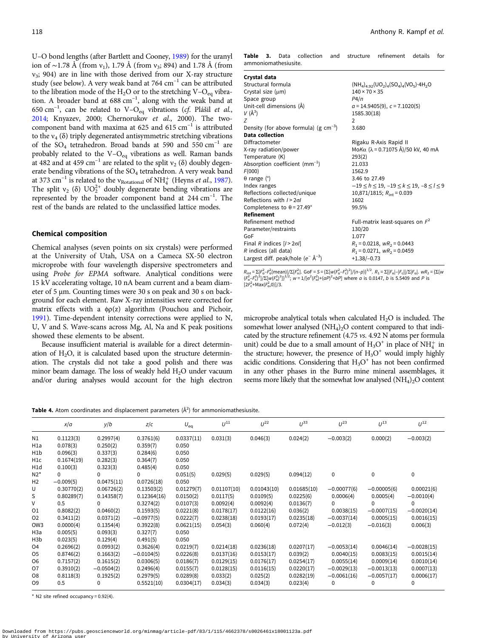<span id="page-3-0"></span>U–O bond lengths (after Bartlett and Cooney, [1989\)](#page-5-0) for the uranyl ion of ~1.78 Å (from  $v_1$ ), 1.79 Å (from  $v_3$ ; 894) and 1.78 Å (from  $v_3$ ; 904) are in line with those derived from our X-ray structure study (see below). A very weak band at  $764 \text{ cm}^{-1}$  can be attributed to the libration mode of the H<sub>2</sub>O or to the stretching V– $O_{eq}$  vibration. A broader band at  $688 \text{ cm}^{-1}$ , along with the weak band at 650 cm<sup>-1</sup>, can be related to V-O<sub>eq</sub> vibrations (*cf.* Plášil *et al.*, [2014;](#page-6-0) Knyazev, 2000; Chernorukov et al., 2000). The twocomponent band with maxima at 625 and 615  $cm^{-1}$  is attributed to the  $v_4$  ( $\delta$ ) triply degenerated antisymmetric stretching vibrations of the  $SO_4$  tetrahedron. Broad bands at 590 and 550 cm<sup>-1</sup> are probably related to the  $V-O_{eq}$  vibrations as well. Raman bands at 482 and at 459 cm<sup>-1</sup> are related to the split  $v_2$  ( $\delta$ ) doubly degenerate bending vibrations of the SO<sub>4</sub> tetrahedron. A very weak band at 373 cm<sup>-1</sup> is related to the v<sub>Rotational</sub> of NH<sub>4</sub><sup>+</sup> (Heyns *et al.*, [1987\)](#page-5-0). The split  $v_2$  ( $\delta$ ) UO<sub>2</sub><sup>+</sup> doubly degenerate bending vibrations are represented by the broader component band at 244 cm–<sup>1</sup> . The rest of the bands are related to the unclassified lattice modes.

# Chemical composition

Chemical analyses (seven points on six crystals) were performed at the University of Utah, USA on a Cameca SX-50 electron microprobe with four wavelength dispersive spectrometers and using Probe for EPMA software. Analytical conditions were 15 kV accelerating voltage, 10 nA beam current and a beam diameter of 5 µm. Counting times were 30 s on peak and 30 s on background for each element. Raw X-ray intensities were corrected for matrix effects with a  $\phi$ ρ(z) algorithm (Pouchou and Pichoir, [1991\)](#page-6-0). Time-dependent intensity corrections were applied to N, U, V and S. Wave-scans across Mg, Al, Na and K peak positions showed these elements to be absent.

Because insufficient material is available for a direct determination of  $H_2O$ , it is calculated based upon the structure determination. The crystals did not take a good polish and there was minor beam damage. The loss of weakly held  $H_2O$  under vacuum and/or during analyses would account for the high electron Table 3. Data collection and structure refinement details for ammoniomathesiusite.

| Crystal data                               |                                                            |
|--------------------------------------------|------------------------------------------------------------|
| Structural formula                         | $(NH_4)_{4.92} (UO_2)_4 (SO_4)_4 (VO_5) \cdot 4H_2 O$      |
| Crystal size (um)                          | $140 \times 70 \times 35$                                  |
| Space group                                | P4/n                                                       |
| Unit-cell dimensions (Å)                   | $a = 14.9405(9), c = 7.1020(5)$                            |
| $V(\AA^3)$                                 | 1585.30(18)                                                |
| 7                                          | 2                                                          |
| Density (for above formula) (g $cm^{-3}$ ) | 3.680                                                      |
| Data collection                            |                                                            |
| Diffractometer                             | Rigaku R-Axis Rapid II                                     |
| X-ray radiation/power                      | MoΚα (λ = 0.71075 Å)/50 kV, 40 mA                          |
| Temperature (K)                            | 293(2)                                                     |
| Absorption coefficient $(mm^{-1})$         | 21.033                                                     |
| F(000)                                     | 1562.9                                                     |
| $\theta$ range (°)                         | 3.46 to 27.49                                              |
| Index ranges                               | $-19 \le h \le 19$ , $-19 \le k \le 19$ , $-8 \le l \le 9$ |
| Reflections collected/unique               | 10,871/1815; $R_{\text{int}} = 0.039$                      |
| Reflections with $1 > 2 \sigma l$          | 1602                                                       |
| Completeness to $\theta$ = 27.49°          | 99.5%                                                      |
| Refinement                                 |                                                            |
| Refinement method                          | Full-matrix least-squares on $F^2$                         |
| Parameter/restraints                       | 130/20                                                     |
| GoF                                        | 1.077                                                      |
| Final R indices $[1 > 2\sigma]$            | $R_1 = 0.0218$ , $wR_2 = 0.0443$                           |
| R indices (all data)                       | $R_1 = 0.0271$ , $wR_2 = 0.0459$                           |
| Largest diff. peak/hole ( $e^ \AA^{-3}$ )  | $+1.38/-0.73$                                              |
|                                            |                                                            |

 $R_{\text{int}} = \sum |F_{o}^{2} - F_{o}^{2}(\text{mean})| / \sum [F_{o}^{2}]$ . GoF = S = { $\sum [W(F_{o}^{2} - F_{c}^{2})^{2}] / (n-p)$ }<sup>1/2</sup>.  $R_{1} = \sum ||F_{o}| - |F_{c}|| / \sum |F_{o}|$ .  $wR_{2} = \{\sum [W_{o}^{2} - F_{o}^{2}] / (n-p)\}$  $(F_0^2 - F_0^2)^2]/\Sigma[w(F_0^2)^2]^{1/2}$ ;  $w = 1/[\sigma^2(F_0^2)+(aP)^2+bP]$  where a is 0.0147, b is 5.5409 and P is  $[2F_c^2+{\rm Max}(F_o^2,0)]/3$ .

microprobe analytical totals when calculated  $H_2O$  is included. The somewhat lower analysed  $(NH_4)_2O$  content compared to that indicated by the structure refinement (4.75 vs. 4.92 N atoms per formula unit) could be due to a small amount of  $H_3O^+$  in place of  $NH_4^+$  in the structure; however, the presence of  $H_3O^+$  would imply highly acidic conditions. Considering that  $H_3O^+$  has not been confirmed in any other phases in the Burro mine mineral assemblages, it seems more likely that the somewhat low analysed  $(NH_4)_2O$  content

Table 4. Atom coordinates and displacement parameters  $(\AA^2)$  for ammoniomathesiusite.

|                  | x/a         | y/b          | z/c          | $U_{\rm eq}$ | $U^{11}$    | $U^{22}$    | $11^{33}$   | $U^{23}$      | $11^{13}$     | $11^{12}$     |
|------------------|-------------|--------------|--------------|--------------|-------------|-------------|-------------|---------------|---------------|---------------|
| N1               | 0.1123(3)   | 0.2997(4)    | 0.3761(6)    | 0.0337(11)   | 0.031(3)    | 0.046(3)    | 0.024(2)    | $-0.003(2)$   | 0.000(2)      | $-0.003(2)$   |
| H1a              | 0.078(3)    | 0.250(2)     | 0.359(7)     | 0.050        |             |             |             |               |               |               |
| H1b              | 0.096(3)    | 0.337(3)     | 0.284(6)     | 0.050        |             |             |             |               |               |               |
| H1c              | 0.1674(19)  | 0.282(3)     | 0.364(7)     | 0.050        |             |             |             |               |               |               |
| H1d              | 0.100(3)    | 0.323(3)     | 0.485(4)     | 0.050        |             |             |             |               |               |               |
| $N2*$            | 0           | $\Omega$     | 0            | 0.051(5)     | 0.029(5)    | 0.029(5)    | 0.094(12)   | $\mathbf 0$   | 0             | 0             |
| H <sub>2</sub>   | $-0.009(5)$ | 0.0475(11)   | 0.0726(18)   | 0.050        |             |             |             |               |               |               |
| U                | 0.30770(2)  | 0.06726(2)   | 0.13503(2)   | 0.01279(7)   | 0.01107(10) | 0.01043(10) | 0.01685(10) | $-0.00077(6)$ | $-0.00005(6)$ | 0.00021(6)    |
| S                | 0.80289(7)  | 0.14358(7)   | 0.12364(16)  | 0.0150(2)    | 0.0117(5)   | 0.0109(5)   | 0.0225(6)   | 0.0006(4)     | 0.0005(4)     | $-0.0010(4)$  |
| v                | 0.5         | $\Omega$     | 0.3274(2)    | 0.0107(3)    | 0.0092(4)   | 0.0092(4)   | 0.0136(7)   | 0             | 0             | $\Omega$      |
| 01               | 0.8082(2)   | 0.0460(2)    | 0.1593(5)    | 0.0221(8)    | 0.0178(17)  | 0.0122(16)  | 0.036(2)    | 0.0038(15)    | $-0.0007(15)$ | $-0.0020(14)$ |
| 02               | 0.3411(2)   | 0.0371(2)    | $-0.0977(5)$ | 0.0222(7)    | 0.0238(18)  | 0.0193(17)  | 0.0235(18)  | $-0.0037(14)$ | 0.0005(15)    | 0.0016(15)    |
| OW <sub>3</sub>  | 0.0000(4)   | 0.1354(4)    | 0.3922(8)    | 0.0621(15)   | 0.054(3)    | 0.060(4)    | 0.072(4)    | $-0.012(3)$   | $-0.016(3)$   | 0.006(3)      |
| H <sub>3</sub> a | 0.005(5)    | 0.093(3)     | 0.327(7)     | 0.050        |             |             |             |               |               |               |
| H <sub>3</sub> b | 0.023(5)    | 0.129(4)     | 0.491(5)     | 0.050        |             |             |             |               |               |               |
| 04               | 0.2696(2)   | 0.0993(2)    | 0.3626(4)    | 0.0219(7)    | 0.0214(18)  | 0.0236(18)  | 0.0207(17)  | $-0.0053(14)$ | 0.0046(14)    | $-0.0028(15)$ |
| O <sub>5</sub>   | 0.8746(2)   | 0.1663(2)    | $-0.0104(5)$ | 0.0226(8)    | 0.0137(16)  | 0.0153(17)  | 0.039(2)    | 0.0040(15)    | 0.0083(15)    | 0.0015(14)    |
| O <sub>6</sub>   | 0.7157(2)   | 0.1615(2)    | 0.0306(5)    | 0.0186(7)    | 0.0129(15)  | 0.0176(17)  | 0.0254(17)  | 0.0055(14)    | 0.0009(14)    | 0.0010(14)    |
| 07               | 0.3910(2)   | $-0.0504(2)$ | 0.2496(4)    | 0.0155(7)    | 0.0128(15)  | 0.0116(15)  | 0.0220(17)  | $-0.0029(13)$ | $-0.0013(13)$ | 0.0007(13)    |
| O8               | 0.8118(3)   | 0.1925(2)    | 0.2979(5)    | 0.0289(8)    | 0.033(2)    | 0.025(2)    | 0.0282(19)  | $-0.0061(16)$ | $-0.0057(17)$ | 0.0006(17)    |
| O9               | 0.5         | 0            | 0.5521(10)   | 0.0304(17)   | 0.034(3)    | 0.034(3)    | 0.023(4)    | $\Omega$      | 0             | 0             |

\* N2 site refined occupancy = 0.92(4).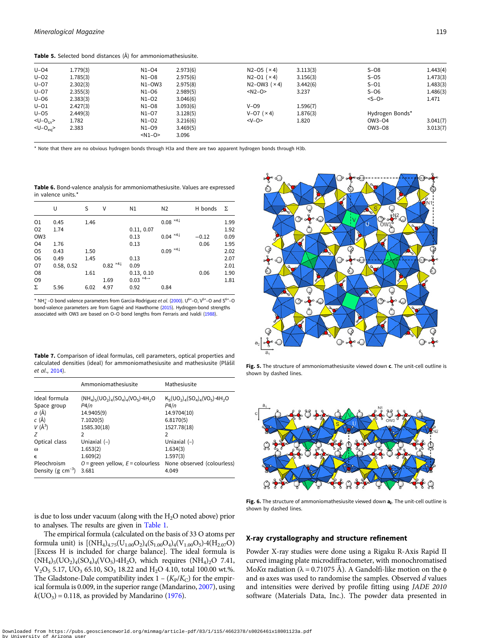<span id="page-4-0"></span>Table 5. Selected bond distances (Å) for ammoniomathesiusite.

| $U - O4$             | 1.779(3) | $N1 - O4$ | 2.973(6) | $N2 - O5 (x 4)$         | 3.113(3) | $S-08$          | 1.443(4) |
|----------------------|----------|-----------|----------|-------------------------|----------|-----------------|----------|
| $U-02$               | 1.785(3) | $N1-08$   | 2.975(6) | $N2 - O1$ ( $\times$ 4) | 3.156(3) | $S - O5$        | 1.473(3) |
| $U - O7$             | 2.302(3) | $N1-OW3$  | 2.975(8) | $N2-OW3$ ( $\times$ 4)  | 3.442(6) | $S - O1$        | 1.483(3) |
| $U - O7$             | 2.355(3) | N1-06     | 2.989(5) | $< N2 - O$              | 3.237    | $S-06$          | 1.486(3) |
| $U-06$               | 2.383(3) | $N1-02$   | 3.046(6) |                         |          | $<$ S-O>        | 1.471    |
| $U - O1$             | 2.427(3) | $N1-08$   | 3.093(6) | $V - O9$                | 1.596(7) |                 |          |
| $U - O5$             | 2.449(3) | $N1-O7$   | 3.128(5) | $V-O7$ ( $\times$ 4)    | 1.876(3) | Hydrogen Bonds* |          |
| $-U$ -O <sub>U</sub> | 1.782    | $N1-O2$   | 3.216(6) | $-V-O$                  | 1.820    | OW3-04          | 3.041(7) |
| $-U-O_{eq}$          | 2.383    | $N1-09$   | 3.469(5) |                         |          | OW3-08          | 3.013(7) |
|                      |          | $-N1-0$   | 3.096    |                         |          |                 |          |
|                      |          |           |          |                         |          |                 |          |

\* Note that there are no obvious hydrogen bonds through H3a and there are two apparent hydrogen bonds through H3b.

Table 6. Bond-valence analysis for ammoniomathesiusite. Values are expressed in valence units.\*

| U          | S    | V    | N1         | N <sub>2</sub>          | H bonds                                                             | Σ    |
|------------|------|------|------------|-------------------------|---------------------------------------------------------------------|------|
| 0.45       | 1.46 |      |            |                         |                                                                     | 1.99 |
| 1.74       |      |      | 0.11, 0.07 |                         |                                                                     | 1.92 |
|            |      |      | 0.13       |                         | $-0.12$                                                             | 0.09 |
| 1.76       |      |      | 0.13       |                         | 0.06                                                                | 1.95 |
| 0.43       | 1.50 |      |            |                         |                                                                     | 2.02 |
| 0.49       | 1.45 |      | 0.13       |                         |                                                                     | 2.07 |
| 0.58, 0.52 |      |      | 0.09       |                         |                                                                     | 2.01 |
|            | 1.61 |      | 0.13, 0.10 |                         | 0.06                                                                | 1.90 |
|            |      | 1.69 |            |                         |                                                                     | 1.81 |
| 5.96       | 6.02 | 4.97 | 0.92       | 0.84                    |                                                                     |      |
|            |      |      | 0.82 $*41$ | 0.03 $^{*4\rightarrow}$ | $0.08 \times 41$<br>$0.04 \times 41$<br>$0.09^{\times 4\downarrow}$ |      |

\* NH<sup>+</sup> –O bond valence parameters from Garcia-Rodriguez *et al.* ([2000\)](#page-5-0). U<sup>6+</sup>–O, V<sup>5+</sup>–O and S<sup>6+</sup>–O bond-valence parameters are from Gagné and Hawthorne [\(2015\)](#page-5-0). Hydrogen-bond strengths associated with OW3 are based on O–O bond lengths from Ferraris and Ivaldi ([1988\)](#page-5-0).

Table 7. Comparison of ideal formulas, cell parameters, optical properties and calculated densities (ideal) for ammoniomathesiusite and mathesiusite (Plášil et al., [2014\)](#page-6-0).

|                        | Ammoniomathesiusite                                               | Mathesiusite                            |
|------------------------|-------------------------------------------------------------------|-----------------------------------------|
| Ideal formula          | $(NH_4)$ <sub>5</sub> $(UO_2)_4(SO_4)_4(VO_5)$ -4H <sub>2</sub> O | $K_5(UO_2)_4(SO_4)_4(VO_5) \cdot 4H_2O$ |
| Space group            | P4/n                                                              | P4/n                                    |
| $a(\AA)$               | 14.9405(9)                                                        | 14.9704(10)                             |
| c (Å)                  | 7.1020(5)                                                         | 6.8170(5)                               |
| $V(\AA^3)$             | 1585.30(18)                                                       | 1527.78(18)                             |
| 7                      | 2                                                                 | 2                                       |
| Optical class          | Uniaxial $(-)$                                                    | Uniaxial $(-)$                          |
| $\omega$               | 1.653(2)                                                          | 1.634(3)                                |
| $\epsilon$             | 1.609(2)                                                          | 1.597(3)                                |
| Pleochroism            | $O =$ green yellow, $E =$ colourless                              | None observed (colourless)              |
| Density (g $cm^{-3}$ ) | 3.681                                                             | 4.049                                   |

is due to loss under vacuum (along with the  $H_2O$  noted above) prior to analyses. The results are given in [Table 1](#page-2-0).

The empirical formula (calculated on the basis of 33 O atoms per formula unit) is  $[(NH_4)_{4.75}(U_{1.00}O_2)_4(S_{1.00}O_4)_4(V_{1.00}O_5)$ -4(H<sub>2.07</sub>O) [Excess H is included for charge balance]. The ideal formula is  $(NH_4)_5(UO_2)_4(SO_4)_4(VO_5)$ <sup>.4</sup>H<sub>2</sub>O, which requires  $(NH_4)_2O$  7.41,  $V_2O_5$  5.17,  $UO_3$  65.10,  $SO_3$  18.22 and  $H_2O$  4.10, total 100.00 wt.%. The Gladstone-Dale compatibility index  $1 - (K_P/K_C)$  for the empirical formula is 0.009, in the superior range (Mandarino, [2007\)](#page-6-0), using  $k(\text{UO}_3) = 0.118$ , as provided by Mandarino [\(1976](#page-5-0)).



Fig. 5. The structure of ammoniomathesiusite viewed down  $c$ . The unit-cell outline is shown by dashed lines.



Fig. 6. The structure of ammoniomathesiusite viewed down  $a_2$ . The unit-cell outline is shown by dashed lines.

## X-ray crystallography and structure refinement

Powder X-ray studies were done using a Rigaku R-Axis Rapid II curved imaging plate microdiffractometer, with monochromatised Mo*Kα* radiation ( $\lambda$  = 0.71075 Å). A Gandolfi-like motion on the φ and  $\omega$  axes was used to randomise the samples. Observed  $d$  values and intensities were derived by profile fitting using JADE 2010 software (Materials Data, Inc.). The powder data presented in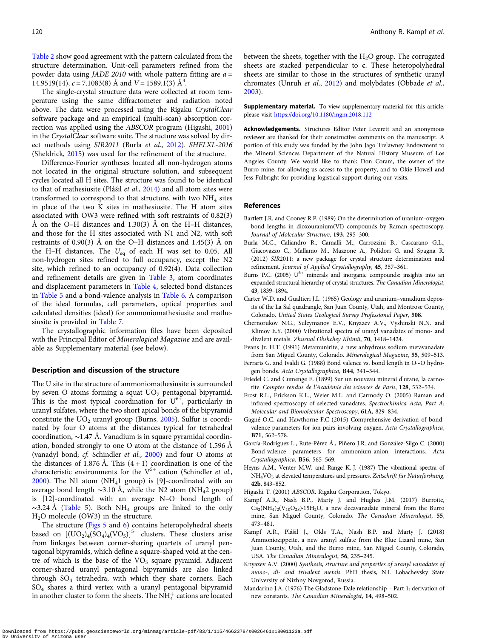<span id="page-5-0"></span>[Table 2](#page-2-0) show good agreement with the pattern calculated from the structure determination. Unit-cell parameters refined from the powder data using *JADE 2010* with whole pattern fitting are  $a =$ 14.9519(14),  $c = 7.1083(8)$  Å and  $V = 1589.1(3)$  Å<sup>3</sup>.

The single-crystal structure data were collected at room temperature using the same diffractometer and radiation noted above. The data were processed using the Rigaku CrystalClear software package and an empirical (multi-scan) absorption correction was applied using the ABSCOR program (Higashi, 2001) in the CrystalClear software suite. The structure was solved by direct methods using SIR2011 (Burla et al., 2012). SHELXL-2016 (Sheldrick, [2015\)](#page-6-0) was used for the refinement of the structure.

Difference-Fourier syntheses located all non-hydrogen atoms not located in the original structure solution, and subsequent cycles located all H sites. The structure was found to be identical to that of mathesiusite (Plášil et al., [2014\)](#page-6-0) and all atom sites were transformed to correspond to that structure, with two  $NH<sub>4</sub>$  sites in place of the two K sites in mathesiusite. The H atom sites associated with OW3 were refined with soft restraints of 0.82(3) Å on the O–H distances and  $1.30(3)$  Å on the H–H distances, and those for the H sites associated with N1 and N2, with soft restraints of 0.90(3) Å on the O–H distances and 1.45(3) Å on the H–H distances. The  $U_{\text{eq}}$  of each H was set to 0.05. All non-hydrogen sites refined to full occupancy, except the N2 site, which refined to an occupancy of 0.92(4). Data collection and refinement details are given in [Table 3](#page-3-0), atom coordinates and displacement parameters in [Table 4](#page-3-0), selected bond distances in [Table 5](#page-4-0) and a bond-valence analysis in [Table 6](#page-4-0). A comparison of the ideal formulas, cell parameters, optical properties and calculated densities (ideal) for ammoniomathesiusite and mathesiusite is provided in [Table 7.](#page-4-0)

The crystallographic information files have been deposited with the Principal Editor of Mineralogical Magazine and are available as Supplementary material (see below).

# Description and discussion of the structure

The U site in the structure of ammoniomathesiusite is surrounded by seven O atoms forming a squat  $UO<sub>7</sub>$  pentagonal bipyramid. This is the most typical coordination for  $U^{6+}$ , particularly in uranyl sulfates, where the two short apical bonds of the bipyramid constitute the  $UO<sub>2</sub>$  uranyl group (Burns, 2005). Sulfur is coordinated by four O atoms at the distances typical for tetrahedral coordination, ∼1.47 Å. Vanadium is in square pyramidal coordination, bonded strongly to one O atom at the distance of 1.596 Å (vanadyl bond; cf. Schindler et al., [2000\)](#page-6-0) and four O atoms at the distances of 1.876 Å. This  $(4 + 1)$  coordination is one of the characteristic environments for the  $V^{5+}$  cation (Schindler et al., [2000\)](#page-6-0). The N1 atom (NH<sub>4</sub>1 group) is [9]-coordinated with an average bond length  $\sim$ 3.10 Å, while the N2 atom (NH<sub>4</sub>2 group) is [12]-coordinated with an average N–O bond length of  $\sim$ 3.24 Å [\(Table 5\)](#page-4-0). Both NH<sub>4</sub> groups are linked to the only H2O molecule (OW3) in the structure.

The structure ([Figs 5](#page-4-0) and [6\)](#page-4-0) contains heteropolyhedral sheets based on  $[(UO<sub>2</sub>)<sub>4</sub>(SO<sub>4</sub>)<sub>4</sub>(VO<sub>5</sub>)]<sup>5-</sup> clusters. These clusters arise$ from linkages between corner-sharing quartets of uranyl pentagonal bipyramids, which define a square-shaped void at the centre of which is the base of the  $VO<sub>5</sub>$  square pyramid. Adjacent corner-shared uranyl pentagonal bipyramids are also linked through SO4 tetrahedra, with which they share corners. Each SO4 shares a third vertex with a uranyl pentagonal bipyramid in another cluster to form the sheets. The  $\mathrm{NH}_4^+$  cations are located

between the sheets, together with the  $H_2O$  group. The corrugated sheets are stacked perpendicular to c. These heteropolyhedral sheets are similar to those in the structures of synthetic uranyl chromates (Unruh et al., [2012](#page-6-0)) and molybdates (Obbade et al., [2003\)](#page-6-0).

Supplementary material. To view supplementary material for this article, please visit <https://doi.org/10.1180/mgm.2018.112>

Acknowledgements. Structures Editor Peter Leverett and an anonymous reviewer are thanked for their constructive comments on the manuscript. A portion of this study was funded by the John Jago Trelawney Endowment to the Mineral Sciences Department of the Natural History Museum of Los Angeles County. We would like to thank Don Coram, the owner of the Burro mine, for allowing us access to the property, and to Okie Howell and Jess Fulbright for providing logistical support during our visits.

#### References

- Bartlett J.R. and Cooney R.P. (1989) On the determination of uranium-oxygen bond lengths in dioxouranium(VI) compounds by Raman spectroscopy. Journal of Molecular Structure, 193, 295–300.
- Burla M.C., Caliandro R., Camalli M., Carrozzini B., Cascarano G.L., Giacovazzo C., Mallamo M., Mazzone A., Polidori G. and Spagna R. (2012) SIR2011: a new package for crystal structure determination and refinement. Journal of Applied Crystallography, 45, 357–361.
- Burns P.C. (2005)  $U^{6+}$  minerals and inorganic compounds: insights into an expanded structural hierarchy of crystal structures. The Canadian Mineralogist, 43, 1839–1894.
- Carter W.D. and Gualtieri J.L. (1965) Geology and uranium–vanadium deposits of the La Sal quadrangle, San Juan County, Utah, and Montrose County, Colorado. United States Geological Survey Professional Paper, 508.
- Chernorukov N.G., Suleymanov E.V., Knyazev A.V., Vyshinski N.N. and Klimov E.Y. (2000) Vibrational spectra of uranyl vanadates of mono- and divalent metals. Zhurnal Obshchey Khimii, 70, 1418–1424.
- Evans Jr. H.T. (1991) Metamunirite, a new anhydrous sodium metavanadate from San Miguel County, Colorado. Mineralogical Magazine, 55, 509–513.
- Ferraris G. and Ivaldi G. (1988) Bond valence vs. bond length in O-··O hydrogen bonds. Acta Crystallographica, B44, 341–344.
- Friedel C. and Cumenge E. (1899) Sur un nouveau minerai d'urane, la carnotite. Comptes rendus de l'Académie des sciences de Paris, 128, 532–534.
- Frost R.L., Erickson K.L., Weier M.L. and Carmody O. (2005) Raman and infrared spectroscopy of selected vanadates. Spectrochimica Acta, Part A: Molecular and Biomolecular Spectroscopy, 61A, 829–834.
- Gagné O.C. and Hawthorne F.C (2015) Comprehensive derivation of bondvalence parameters for ion pairs involving oxygen. Acta Crystallographica, B71, 562–578.
- García-Rodríguez L., Rute-Pérez Á., Piñero J.R. and González-Silgo C. (2000) Bond-valence parameters for ammonium-anion interactions. Acta Crystallographica, B56, 565–569.
- Heyns A.M., Venter M.W. and Range K.-J. (1987) The vibrational spectra of NH<sub>4</sub>VO<sub>3</sub> at elevated temperatures and pressures. Zeitschrift für Naturforshung, 42b, 843–852.
- Higashi T. (2001) ABSCOR. Rigaku Corporation, Tokyo.
- Kampf A.R., Nash B.P., Marty J. and Hughes J.M. (2017) Burroite,  $Ca_2(NH_4)_2(V_{10}O_{28})$ ·15H<sub>2</sub>O, a new decavanadate mineral from the Burro mine, San Miguel County, Colorado. The Canadian Mineralogist, 55, 473–481.
- Kampf A.R., Plášil J., Olds T.A., Nash B.P. and Marty J. (2018) Ammoniozippeite, a new uranyl sulfate from the Blue Lizard mine, San Juan County, Utah, and the Burro mine, San Miguel County, Colorado, USA. The Canadian Mineralogist, 56, 235–245.
- Knyazev A.V. (2000) Synthesis, structure and properties of uranyl vanadates of mono-, di- and trivalent metals. PhD thesis, N.I. Lobachevsky State University of Nizhny Novgorod, Russia.
- Mandarino J.A. (1976) The Gladstone-Dale relationship Part 1: derivation of new constants. The Canadian Mineralogist, 14, 498–502.